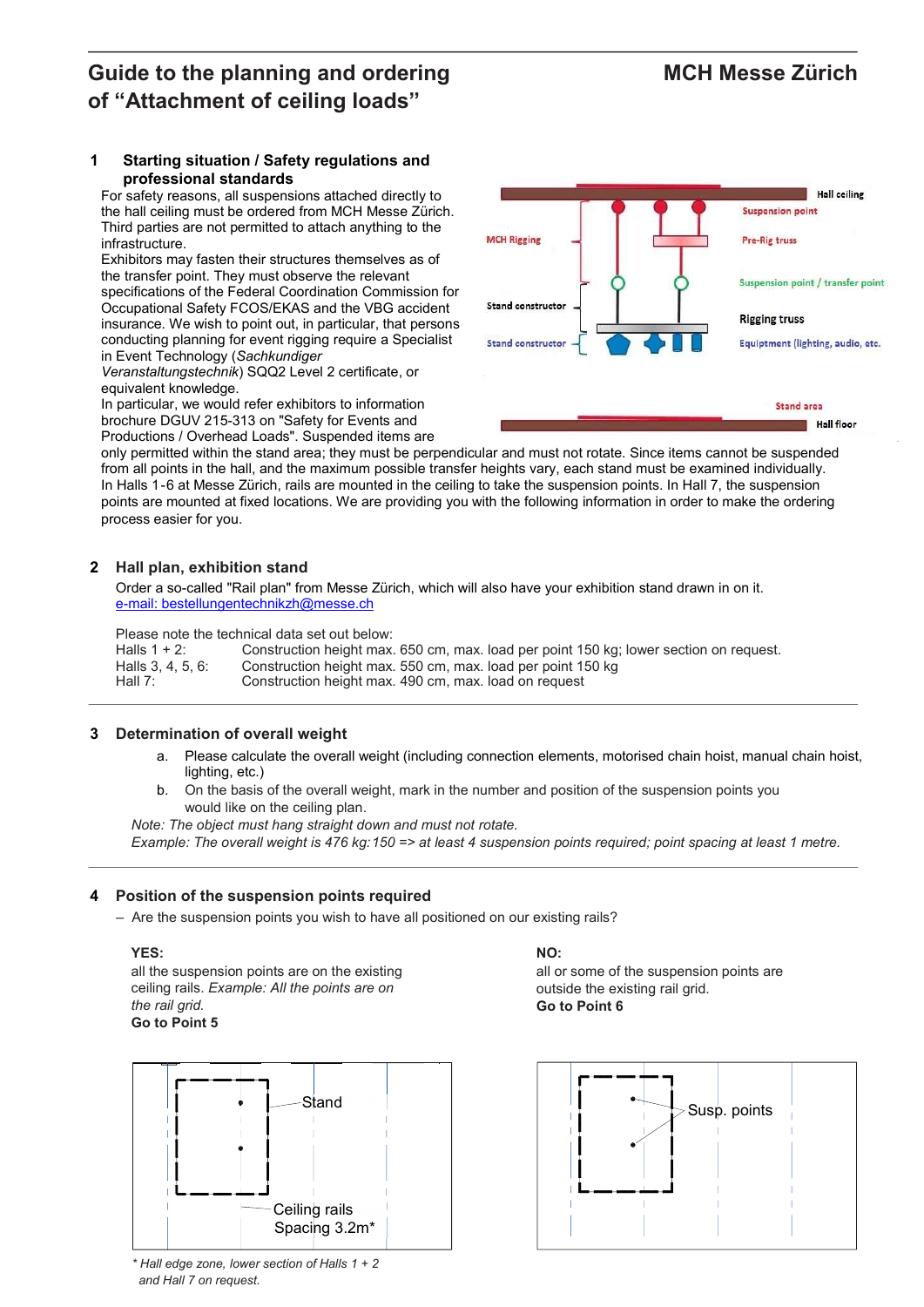# Guide to the planning and ordering MCH Messe Zürich of "Attachment of ceiling loads"

### 1 Starting situation / Safety regulations and professional standards

For safety reasons, all suspensions attached directly to the hall ceiling must be ordered from MCH Messe Zürich. Third parties are not permitted to attach anything to the infrastructure.

Exhibitors may fasten their structures themselves as of the transfer point. They must observe the relevant specifications of the Federal Coordination Commission for Occupational Safety FCOS/EKAS and the VBG accident insurance. We wish to point out, in particular, that persons conducting planning for event rigging require a Specialist in Event Technology (Sachkundiger

Veranstaltungstechnik) SQQ2 Level 2 certificate, or equivalent knowledge.

In particular, we would refer exhibitors to information brochure DGUV 215-313 on "Safety for Events and Productions / Overhead Loads". Suspended items are

only permitted within the stand area; they must be perpendicular and must not rotate. Since items cannot be suspended from all points in the hall, and the maximum possible transfer heights vary, each stand must be examined individually. In Halls 1-6 at Messe Zürich, rails are mounted in the ceiling to take the suspension points. In Hall 7, the suspension points are mounted at fixed locations. We are providing you with the following information in order to make the ordering process easier for you.

# 2 Hall plan, exhibition stand

Order a so-called "Rail plan" from Messe Zürich, which will also have your exhibition stand drawn in on it. e-mail: bestellungentechnikzh@messe.ch

Please note the technical data set out below:

| Halls $1 + 2$ :   | Construction height max. 650 cm, max. load per point 150 kg; lower section on request. |
|-------------------|----------------------------------------------------------------------------------------|
| Halls 3, 4, 5, 6: | Construction height max. 550 cm, max. load per point 150 kg                            |
| Hall $7:$         | Construction height max. 490 cm, max. load on request                                  |

# 3 Determination of overall weight

- a. Please calculate the overall weight (including connection elements, motorised chain hoist, manual chain hoist, lighting, etc.)
- b. On the basis of the overall weight, mark in the number and position of the suspension points you would like on the ceiling plan.

Note: The object must hang straight down and must not rotate. Example: The overall weight is 476 kg: 150 => at least 4 suspension points required; point spacing at least 1 metre.

# 4 Position of the suspension points required

– Are the suspension points you wish to have all positioned on our existing rails?

### YES:

all the suspension points are on the existing ceiling rails. Example: All the points are on the rail grid. Go to Point 5



 $*$  Hall edge zone, lower section of Halls 1 + 2 and Hall 7 on request.

### NO:

all or some of the suspension points are outside the existing rail grid. Go to Point 6



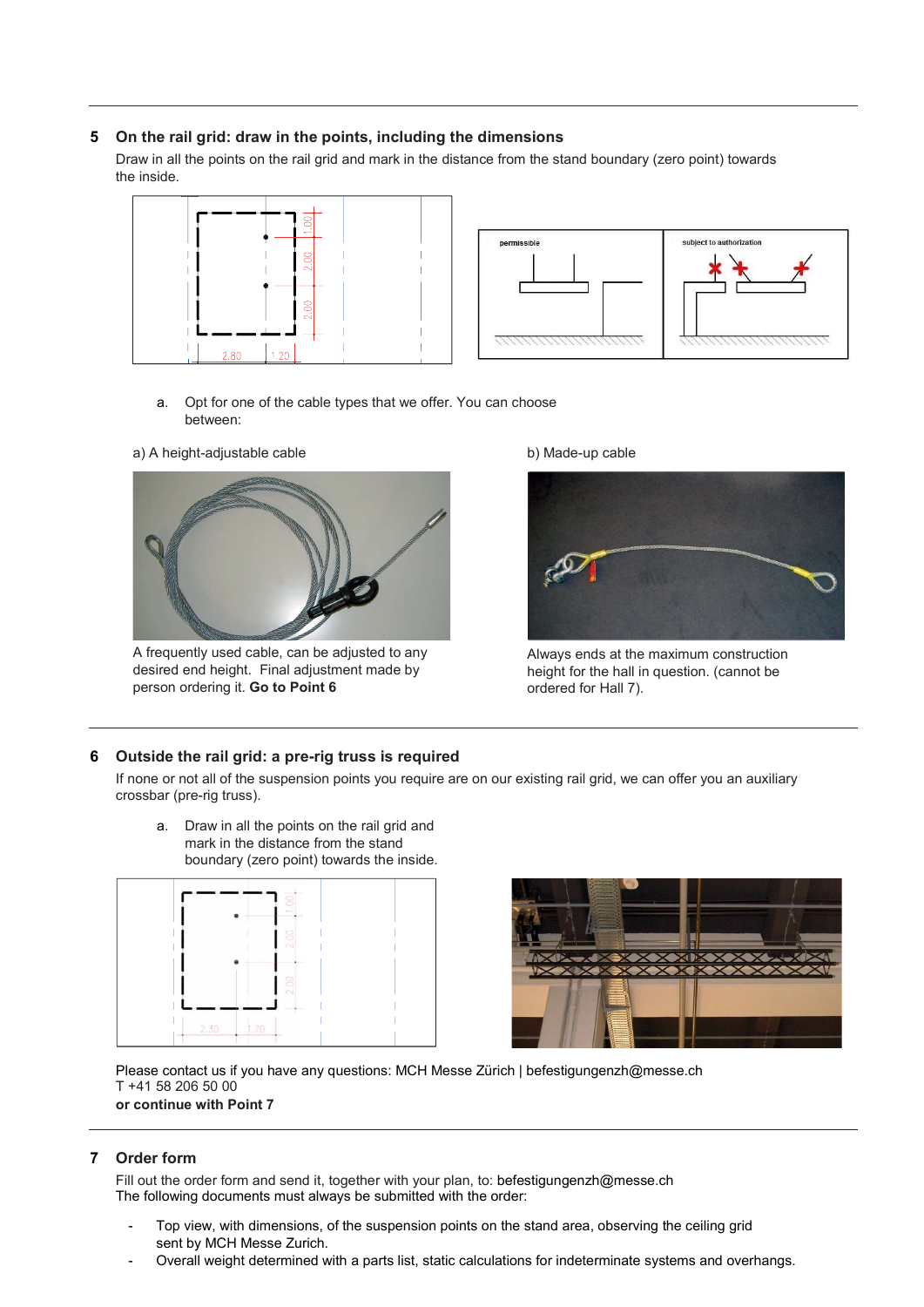### 5 On the rail grid: draw in the points, including the dimensions

Draw in all the points on the rail grid and mark in the distance from the stand boundary (zero point) towards the inside.





- a. Opt for one of the cable types that we offer. You can choose between:
- a) A height-adjustable cable



A frequently used cable, can be adjusted to any desired end height. Final adjustment made by person ordering it. Go to Point 6

b) Made-up cable



Always ends at the maximum construction height for the hall in question. (cannot be ordered for Hall 7).

### 6 Outside the rail grid: a pre-rig truss is required

If none or not all of the suspension points you require are on our existing rail grid, we can offer you an auxiliary crossbar (pre-rig truss).

a. Draw in all the points on the rail grid and mark in the distance from the stand boundary (zero point) towards the inside.





Please contact us if you have any questions: MCH Messe Zürich | befestigungenzh@messe.ch T +41 58 206 50 00 or continue with Point 7

### 7 Order form

Fill out the order form and send it, together with your plan, to: befestigungenzh@messe.ch The following documents must always be submitted with the order:

- Top view, with dimensions, of the suspension points on the stand area, observing the ceiling grid sent by MCH Messe Zurich.
- Overall weight determined with a parts list, static calculations for indeterminate systems and overhangs.